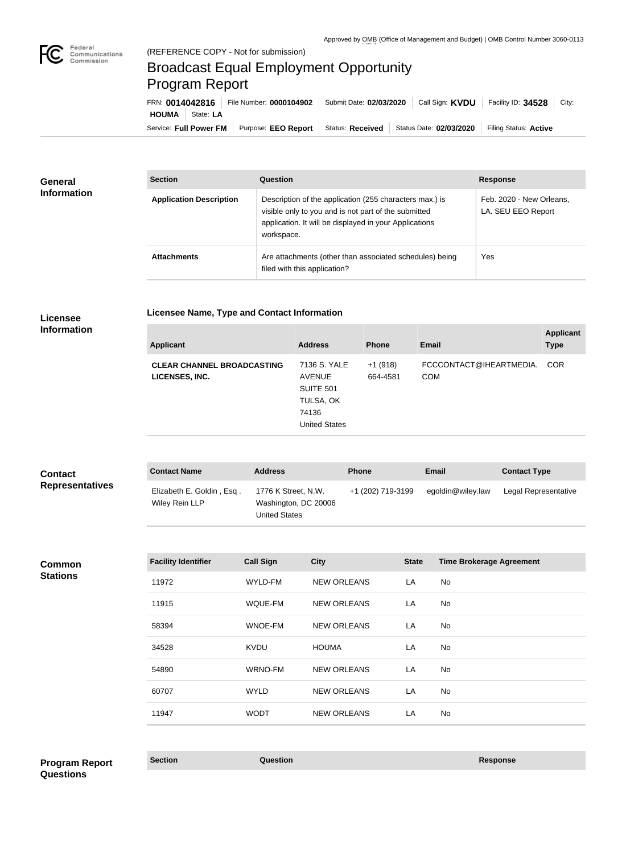

## Broadcast Equal Employment Opportunity Program Report

**Licensee Name, Type and Contact Information**

Service: Full Power FM Purpose: EEO Report | Status: Received | Status Date: 02/03/2020 | Filing Status: Active **HOUMA** State: **LA** FRN: **0014042816** File Number: **0000104902** Submit Date: **02/03/2020** Call Sign: **KVDU** Facility ID: **34528** City:

| <b>General</b><br><b>Information</b> | <b>Section</b>                 | Question                                                                                                                                                                                | <b>Response</b>                                |
|--------------------------------------|--------------------------------|-----------------------------------------------------------------------------------------------------------------------------------------------------------------------------------------|------------------------------------------------|
|                                      | <b>Application Description</b> | Description of the application (255 characters max.) is<br>visible only to you and is not part of the submitted<br>application. It will be displayed in your Applications<br>workspace. | Feb. 2020 - New Orleans,<br>LA. SEU EEO Report |
|                                      | <b>Attachments</b>             | Are attachments (other than associated schedules) being<br>filed with this application?                                                                                                 | Yes                                            |

## **Licensee Information**

| <b>Applicant</b>                                    | <b>Address</b>                                                                                  | <b>Phone</b>          | <b>Email</b>                          | <b>Applicant</b><br><b>Type</b> |
|-----------------------------------------------------|-------------------------------------------------------------------------------------------------|-----------------------|---------------------------------------|---------------------------------|
| <b>CLEAR CHANNEL BROADCASTING</b><br>LICENSES, INC. | 7136 S. YALE<br><b>AVENUE</b><br><b>SUITE 501</b><br>TULSA, OK<br>74136<br><b>United States</b> | $+1(918)$<br>664-4581 | FCCCONTACT@IHEARTMEDIA.<br><b>COM</b> | <b>COR</b>                      |
|                                                     |                                                                                                 |                       |                                       |                                 |

| <b>Contact</b><br><b>Representatives</b> | <b>Contact Name</b>                         | <b>Address</b>                                                      |                    | <b>Phone</b>      |              | Email                           | <b>Contact Type</b>  |
|------------------------------------------|---------------------------------------------|---------------------------------------------------------------------|--------------------|-------------------|--------------|---------------------------------|----------------------|
|                                          | Elizabeth E. Goldin, Esq.<br>Wiley Rein LLP | 1776 K Street, N.W.<br>Washington, DC 20006<br><b>United States</b> |                    | +1 (202) 719-3199 |              | egoldin@wiley.law               | Legal Representative |
|                                          |                                             |                                                                     |                    |                   |              |                                 |                      |
| <b>Common</b><br><b>Stations</b>         | <b>Facility Identifier</b>                  | <b>Call Sign</b>                                                    | <b>City</b>        |                   | <b>State</b> | <b>Time Brokerage Agreement</b> |                      |
|                                          | 11972                                       | WYLD-FM                                                             | <b>NEW ORLEANS</b> |                   | LA           | No                              |                      |
|                                          | 11915                                       | WQUE-FM                                                             | <b>NEW ORLEANS</b> |                   | LA           | No                              |                      |
|                                          | 58394                                       | WNOE-FM                                                             | <b>NEW ORLEANS</b> |                   | LA           | No                              |                      |
|                                          | 34528                                       | <b>KVDU</b>                                                         | <b>HOUMA</b>       |                   | LA           | <b>No</b>                       |                      |
|                                          | 54890                                       | <b>WRNO-FM</b>                                                      | <b>NEW ORLEANS</b> |                   | LA           | No                              |                      |
|                                          | 60707                                       | <b>WYLD</b>                                                         | <b>NEW ORLEANS</b> |                   | LA           | <b>No</b>                       |                      |
|                                          | 11947                                       | <b>WODT</b>                                                         | <b>NEW ORLEANS</b> |                   | LA           | No                              |                      |
|                                          |                                             |                                                                     |                    |                   |              |                                 |                      |